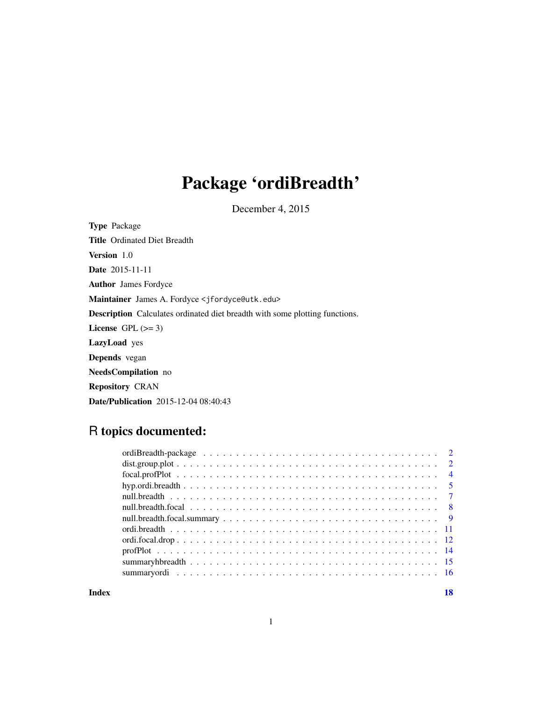# Package 'ordiBreadth'

December 4, 2015

| <b>Type</b> Package                                                                |
|------------------------------------------------------------------------------------|
| <b>Title</b> Ordinated Diet Breadth                                                |
| <b>Version</b> 1.0                                                                 |
| <b>Date</b> 2015-11-11                                                             |
| <b>Author</b> James Fordyce                                                        |
| Maintainer James A. Fordyce < j fordyce@utk.edu>                                   |
| <b>Description</b> Calculates ordinated diet breadth with some plotting functions. |
| License $GPL \, (= 3)$                                                             |
| <b>LazyLoad</b> yes                                                                |
| <b>Depends</b> vegan                                                               |
| <b>NeedsCompilation</b> no                                                         |
| <b>Repository CRAN</b>                                                             |
| <b>Date/Publication</b> 2015-12-04 08:40:43                                        |

# R topics documented:

**Index** 2008 **[18](#page-17-0)**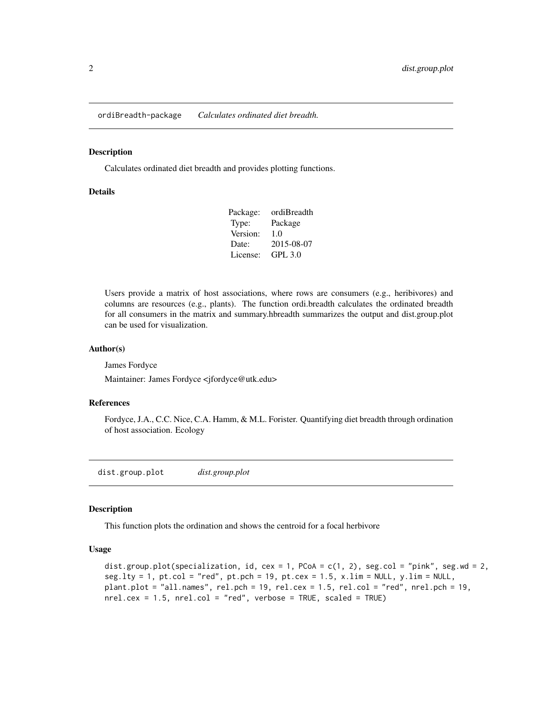<span id="page-1-0"></span>ordiBreadth-package *Calculates ordinated diet breadth.*

#### Description

Calculates ordinated diet breadth and provides plotting functions.

#### Details

| Package: | ordiBreadth    |
|----------|----------------|
| Type:    | Package        |
| Version: | 1.0            |
| Date:    | 2015-08-07     |
| License: | <b>GPL 3.0</b> |

Users provide a matrix of host associations, where rows are consumers (e.g., heribivores) and columns are resources (e.g., plants). The function ordi.breadth calculates the ordinated breadth for all consumers in the matrix and summary.hbreadth summarizes the output and dist.group.plot can be used for visualization.

#### Author(s)

James Fordyce

Maintainer: James Fordyce <jfordyce@utk.edu>

#### References

Fordyce, J.A., C.C. Nice, C.A. Hamm, & M.L. Forister. Quantifying diet breadth through ordination of host association. Ecology

dist.group.plot *dist.group.plot*

#### Description

This function plots the ordination and shows the centroid for a focal herbivore

# Usage

```
dist.group.plot(specialization, id, cex = 1, PCoA = c(1, 2), seg.col = "pink", seg.wd = 2,
seg.lty = 1, pt.col = "red", pt.pch = 19, pt.cex = 1.5, x.lim = NULL, y.lim = NULL,
plant.plot = "all.names", rel.pch = 19, rel.cex = 1.5, rel.col = "red", nrel.pch = 19,
nrel.cex = 1.5, nrel.col = "red", verbose = TRUE, scaled = TRUE)
```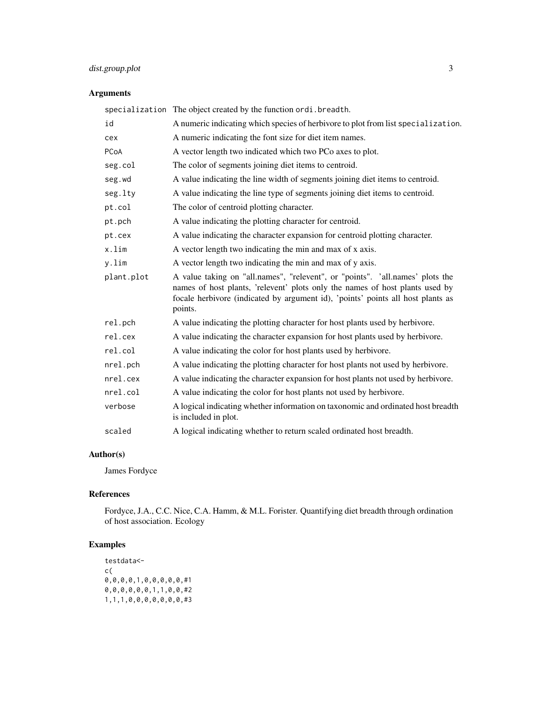# dist.group.plot 3

# Arguments

|            | specialization The object created by the function ordi. breadth.                                                                                                                                                                                            |
|------------|-------------------------------------------------------------------------------------------------------------------------------------------------------------------------------------------------------------------------------------------------------------|
| id         | A numeric indicating which species of herbivore to plot from list specialization.                                                                                                                                                                           |
| cex        | A numeric indicating the font size for diet item names.                                                                                                                                                                                                     |
| PCoA       | A vector length two indicated which two PCo axes to plot.                                                                                                                                                                                                   |
| seg.col    | The color of segments joining diet items to centroid.                                                                                                                                                                                                       |
| seg.wd     | A value indicating the line width of segments joining diet items to centroid.                                                                                                                                                                               |
| seg.lty    | A value indicating the line type of segments joining diet items to centroid.                                                                                                                                                                                |
| pt.col     | The color of centroid plotting character.                                                                                                                                                                                                                   |
| pt.pch     | A value indicating the plotting character for centroid.                                                                                                                                                                                                     |
| pt.cex     | A value indicating the character expansion for centroid plotting character.                                                                                                                                                                                 |
| x.lim      | A vector length two indicating the min and max of x axis.                                                                                                                                                                                                   |
| y.lim      | A vector length two indicating the min and max of y axis.                                                                                                                                                                                                   |
| plant.plot | A value taking on "all.names", "relevent", or "points". 'all.names' plots the<br>names of host plants, 'relevent' plots only the names of host plants used by<br>focale herbivore (indicated by argument id), 'points' points all host plants as<br>points. |
| rel.pch    | A value indicating the plotting character for host plants used by herbivore.                                                                                                                                                                                |
| rel.cex    | A value indicating the character expansion for host plants used by herbivore.                                                                                                                                                                               |
| rel.col    | A value indicating the color for host plants used by herbivore.                                                                                                                                                                                             |
| nrel.pch   | A value indicating the plotting character for host plants not used by herbivore.                                                                                                                                                                            |
| nrel.cex   | A value indicating the character expansion for host plants not used by herbivore.                                                                                                                                                                           |
| nrel.col   | A value indicating the color for host plants not used by herbivore.                                                                                                                                                                                         |
| verbose    | A logical indicating whether information on taxonomic and ordinated host breadth<br>is included in plot.                                                                                                                                                    |
| scaled     | A logical indicating whether to return scaled ordinated host breadth.                                                                                                                                                                                       |

# Author(s)

James Fordyce

# References

Fordyce, J.A., C.C. Nice, C.A. Hamm, & M.L. Forister. Quantifying diet breadth through ordination of host association. Ecology

# Examples

```
testdata<-
c(
0,0,0,0,1,0,0,0,0,0,#1
0,0,0,0,0,0,1,1,0,0,#2
1,1,1,0,0,0,0,0,0,0,#3
```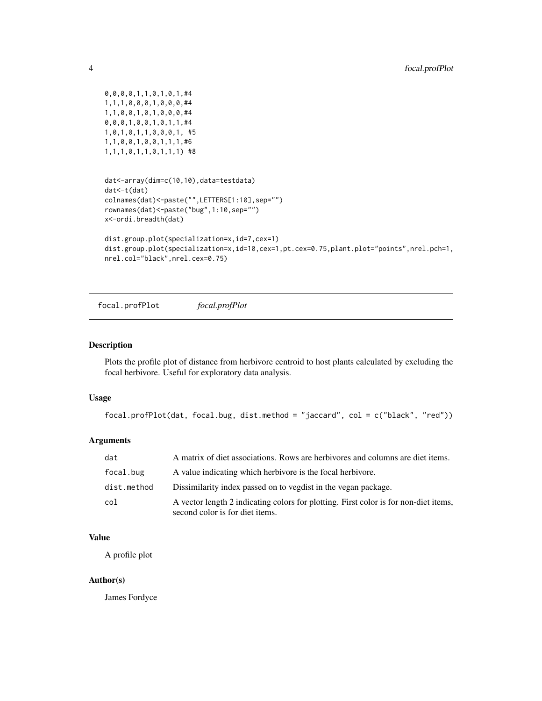```
0,0,0,0,1,1,0,1,0,1,#4
1,1,1,0,0,0,1,0,0,0,#4
1,1,0,0,1,0,1,0,0,0,#4
0,0,0,1,0,0,1,0,1,1,#4
1,0,1,0,1,1,0,0,0,1, #5
1,1,0,0,1,0,0,1,1,1,#6
1,1,1,0,1,1,0,1,1,1) #8
```

```
dat<-array(dim=c(10,10),data=testdata)
dat<-t(dat)
colnames(dat)<-paste("",LETTERS[1:10],sep="")
rownames(dat)<-paste("bug",1:10,sep="")
x<-ordi.breadth(dat)
```

```
dist.group.plot(specialization=x,id=7,cex=1)
dist.group.plot(specialization=x,id=10,cex=1,pt.cex=0.75,plant.plot="points",nrel.pch=1,
nrel.col="black",nrel.cex=0.75)
```
focal.profPlot *focal.profPlot*

#### Description

Plots the profile plot of distance from herbivore centroid to host plants calculated by excluding the focal herbivore. Useful for exploratory data analysis.

# Usage

```
focal.profPlot(dat, focal.bug, dist.method = "jaccard", col = c("black", "red"))
```
# Arguments

| dat         | A matrix of diet associations. Rows are herbivores and columns are diet items.                                          |
|-------------|-------------------------------------------------------------------------------------------------------------------------|
| focal.bug   | A value indicating which herbivore is the focal herbivore.                                                              |
| dist.method | Dissimilarity index passed on to vegdist in the vegan package.                                                          |
| col         | A vector length 2 indicating colors for plotting. First color is for non-diet items,<br>second color is for diet items. |

#### Value

A profile plot

#### Author(s)

James Fordyce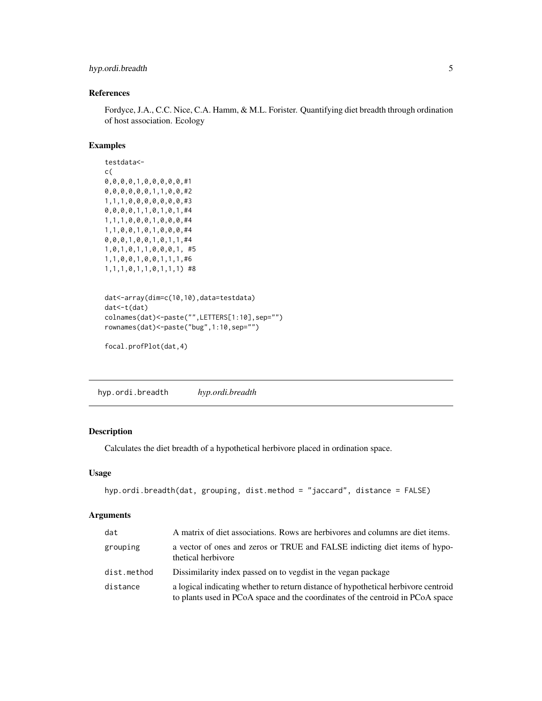# <span id="page-4-0"></span>hyp.ordi.breadth 5

# References

Fordyce, J.A., C.C. Nice, C.A. Hamm, & M.L. Forister. Quantifying diet breadth through ordination of host association. Ecology

# Examples

```
testdata<-
c(
0,0,0,0,1,0,0,0,0,0,#1
0,0,0,0,0,0,1,1,0,0,#2
1,1,1,0,0,0,0,0,0,0,#3
0,0,0,0,1,1,0,1,0,1,#4
1,1,1,0,0,0,1,0,0,0,#4
1,1,0,0,1,0,1,0,0,0,#4
0,0,0,1,0,0,1,0,1,1,#4
1,0,1,0,1,1,0,0,0,1, #5
1,1,0,0,1,0,0,1,1,1,#6
1,1,1,0,1,1,0,1,1,1) #8
```

```
dat<-array(dim=c(10,10),data=testdata)
dat<-t(dat)
colnames(dat)<-paste("",LETTERS[1:10],sep="")
rownames(dat)<-paste("bug",1:10,sep="")
```

```
focal.profPlot(dat,4)
```
hyp.ordi.breadth *hyp.ordi.breadth*

# Description

Calculates the diet breadth of a hypothetical herbivore placed in ordination space.

# Usage

```
hyp.ordi.breadth(dat, grouping, dist.method = "jaccard", distance = FALSE)
```
# Arguments

| dat         | A matrix of diet associations. Rows are herbivores and columns are diet items.                                                                                       |
|-------------|----------------------------------------------------------------------------------------------------------------------------------------------------------------------|
| grouping    | a vector of ones and zeros or TRUE and FALSE indicting diet items of hypo-<br>thetical herbivore                                                                     |
| dist.method | Dissimilarity index passed on to vegdist in the vegan package                                                                                                        |
| distance    | a logical indicating whether to return distance of hypothetical herbivore centroid<br>to plants used in PCoA space and the coordinates of the centroid in PCoA space |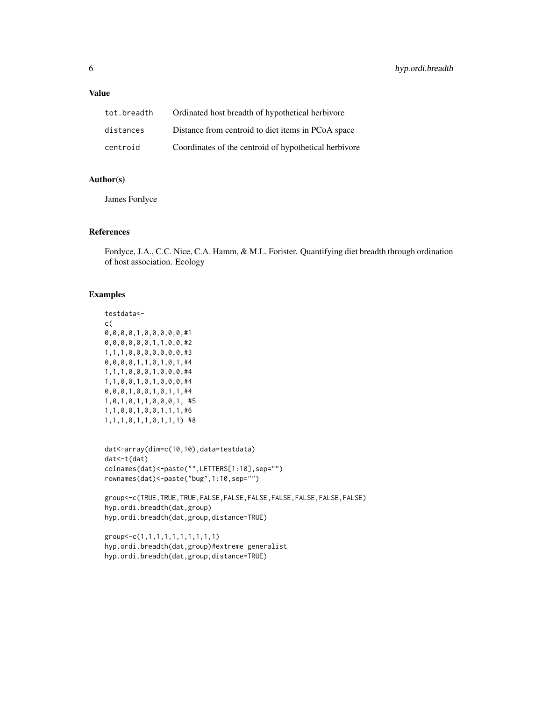# Value

| tot.breadth | Ordinated host breadth of hypothetical herbivore      |
|-------------|-------------------------------------------------------|
| distances   | Distance from centroid to diet items in PCoA space    |
| centroid    | Coordinates of the centroid of hypothetical herbivore |

# Author(s)

James Fordyce

## References

Fordyce, J.A., C.C. Nice, C.A. Hamm, & M.L. Forister. Quantifying diet breadth through ordination of host association. Ecology

#### Examples

```
testdata<-
c(
0,0,0,0,1,0,0,0,0,0,#1
0,0,0,0,0,0,1,1,0,0,#2
1,1,1,0,0,0,0,0,0,0,#3
0,0,0,0,1,1,0,1,0,1,#4
1,1,1,0,0,0,1,0,0,0,#4
1,1,0,0,1,0,1,0,0,0,#4
0,0,0,1,0,0,1,0,1,1,#4
1,0,1,0,1,1,0,0,0,1, #5
1,1,0,0,1,0,0,1,1,1,#6
1,1,1,0,1,1,0,1,1,1) #8
```

```
dat<-array(dim=c(10,10),data=testdata)
dat<-t(dat)
colnames(dat)<-paste("",LETTERS[1:10],sep="")
rownames(dat)<-paste("bug",1:10,sep="")
```

```
group<-c(TRUE,TRUE,TRUE,FALSE,FALSE,FALSE,FALSE,FALSE,FALSE,FALSE)
hyp.ordi.breadth(dat,group)
hyp.ordi.breadth(dat,group,distance=TRUE)
```

```
group<-c(1,1,1,1,1,1,1,1,1,1)
hyp.ordi.breadth(dat,group)#extreme generalist
hyp.ordi.breadth(dat,group,distance=TRUE)
```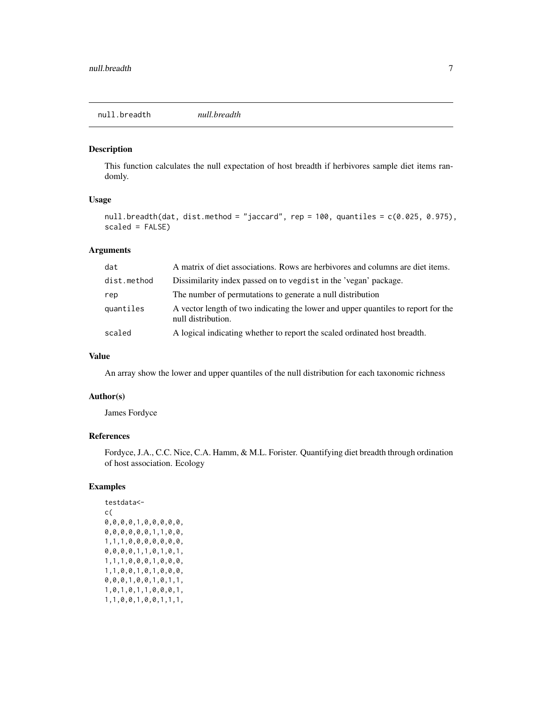#### <span id="page-6-0"></span>Description

This function calculates the null expectation of host breadth if herbivores sample diet items randomly.

# Usage

```
null.breadth(dat, dist.method = "jaccard", rep = 100, quantiles = c(0.025, 0.975),
scaled = FALSE)
```
#### Arguments

| dat         | A matrix of diet associations. Rows are herbivores and columns are diet items.                          |
|-------------|---------------------------------------------------------------------------------------------------------|
| dist.method | Dissimilarity index passed on to vegdist in the 'vegan' package.                                        |
| rep         | The number of permutations to generate a null distribution                                              |
| quantiles   | A vector length of two indicating the lower and upper quantiles to report for the<br>null distribution. |
| scaled      | A logical indicating whether to report the scaled ordinated host breadth.                               |

# Value

An array show the lower and upper quantiles of the null distribution for each taxonomic richness

#### Author(s)

James Fordyce

# References

Fordyce, J.A., C.C. Nice, C.A. Hamm, & M.L. Forister. Quantifying diet breadth through ordination of host association. Ecology

# Examples

testdata< c( 0,0,0,0,1,0,0,0,0,0, 0,0,0,0,0,0,1,1,0,0, 1,1,1,0,0,0,0,0,0,0, 0,0,0,0,1,1,0,1,0,1, 1,1,1,0,0,0,1,0,0,0, 1,1,0,0,1,0,1,0,0,0, 0,0,0,1,0,0,1,0,1,1, 1,0,1,0,1,1,0,0,0,1, 1,1,0,0,1,0,0,1,1,1,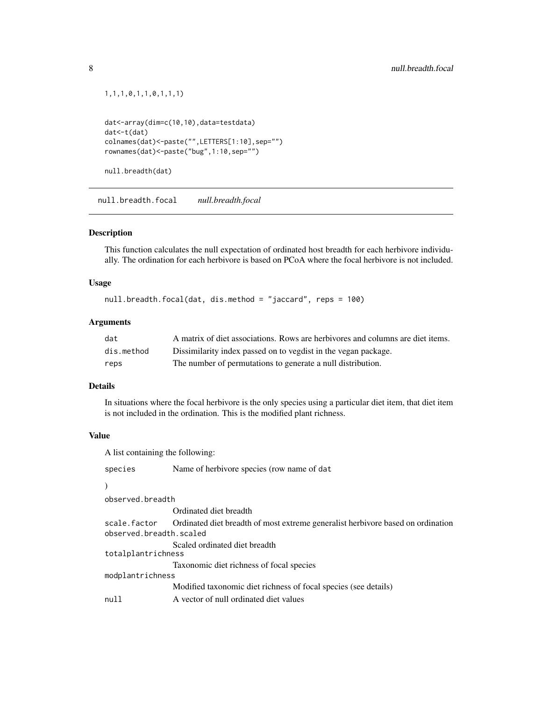```
1,1,1,0,1,1,0,1,1,1)
```

```
dat<-array(dim=c(10,10),data=testdata)
dat<-t(dat)
colnames(dat)<-paste("",LETTERS[1:10],sep="")
rownames(dat)<-paste("bug",1:10,sep="")
```

```
null.breadth(dat)
```
null.breadth.focal *null.breadth.focal*

#### Description

This function calculates the null expectation of ordinated host breadth for each herbivore individually. The ordination for each herbivore is based on PCoA where the focal herbivore is not included.

#### Usage

```
null.breadth.focal(dat, dis.method = "jaccard", reps = 100)
```
# Arguments

| dat        | A matrix of diet associations. Rows are herbivores and columns are diet items. |
|------------|--------------------------------------------------------------------------------|
| dis.method | Dissimilarity index passed on to vegdist in the vegan package.                 |
| reps       | The number of permutations to generate a null distribution.                    |

# Details

In situations where the focal herbivore is the only species using a particular diet item, that diet item is not included in the ordination. This is the modified plant richness.

# Value

A list containing the following:

| species                                 | Name of herbivore species (row name of dat                                      |  |
|-----------------------------------------|---------------------------------------------------------------------------------|--|
|                                         |                                                                                 |  |
| observed.breadth                        |                                                                                 |  |
|                                         | Ordinated diet breadth                                                          |  |
| scale.factor<br>observed.breadth.scaled | Ordinated diet breadth of most extreme generalist herbivore based on ordination |  |
| totalplantrichness                      | Scaled ordinated diet breadth                                                   |  |
|                                         | Taxonomic diet richness of focal species                                        |  |
| modplantrichness                        |                                                                                 |  |
|                                         | Modified taxonomic diet richness of focal species (see details)                 |  |
| null                                    | A vector of null ordinated diet values                                          |  |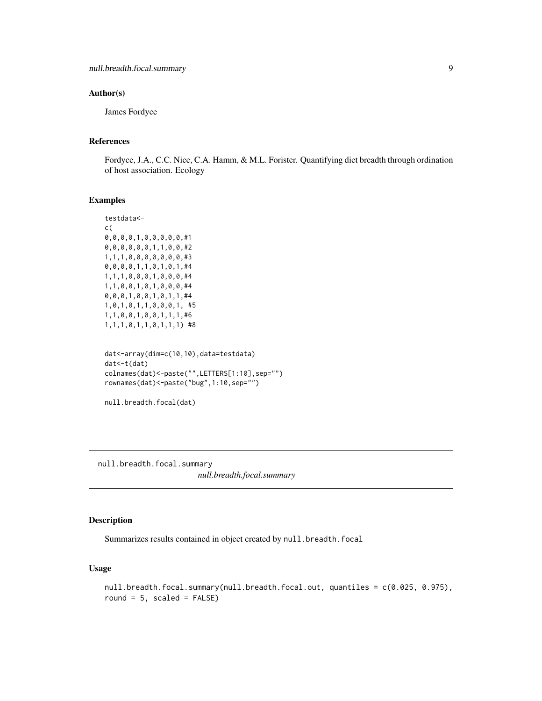#### <span id="page-8-0"></span>Author(s)

James Fordyce

# References

Fordyce, J.A., C.C. Nice, C.A. Hamm, & M.L. Forister. Quantifying diet breadth through ordination of host association. Ecology

#### Examples

```
testdata<-
c(
0,0,0,0,1,0,0,0,0,0,#1
0,0,0,0,0,0,1,1,0,0,#2
1,1,1,0,0,0,0,0,0,0,#3
0,0,0,0,1,1,0,1,0,1,#4
1,1,1,0,0,0,1,0,0,0,#4
1,1,0,0,1,0,1,0,0,0,#4
\textcircled{\textcolor{red}{0}} , \textcircled{\textcolor{red}{0}} , \textcircled{\textcolor{red}{1}} , \textcircled{\textcolor{red}{0}} , \textcircled{\textcolor{red}{1}} , \textcircled{\textcolor{red}{1}} , \textcircled{\textcolor{red}{1}} , \textcircled{\textcolor{red}{1}} , \textcircled{\textcolor{red}{1}} , \textcircled{\textcolor{red}{1}} , \textcircled{\textcolor{red}{1}} , \textcircled{\textcolor{red}{1}} , \textcircled{\textcolor{red}{1}} , 
1,0,1,0,1,1,0,0,0,1, #5
1,1,0,0,1,0,0,1,1,1,#6
1,1,1,0,1,1,0,1,1,1) #8
```

```
dat<-array(dim=c(10,10),data=testdata)
dat<-t(dat)
colnames(dat)<-paste("",LETTERS[1:10],sep="")
rownames(dat)<-paste("bug",1:10,sep="")
```

```
null.breadth.focal(dat)
```
null.breadth.focal.summary *null.breadth.focal.summary*

# Description

Summarizes results contained in object created by null.breadth.focal

# Usage

```
null.breadth.focal.summary(null.breadth.focal.out, quantiles = c(0.025, 0.975),
round = 5, scaled = FALSE)
```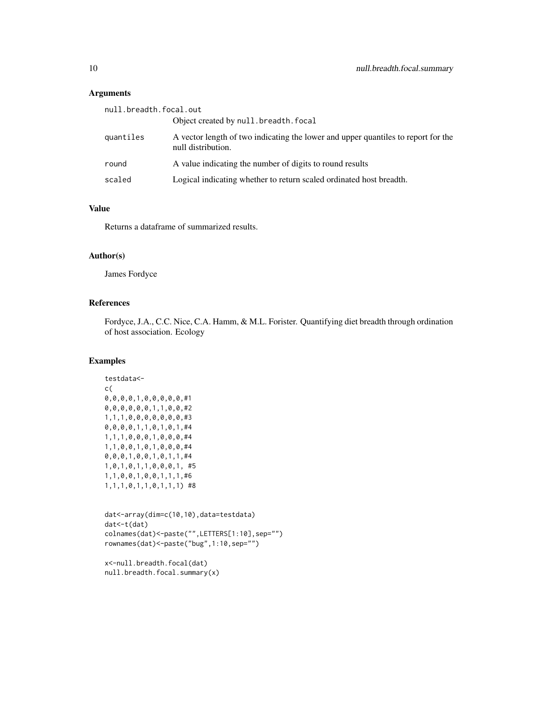# Arguments

| null.breadth.focal.out |                                                                                                         |  |
|------------------------|---------------------------------------------------------------------------------------------------------|--|
|                        | Object created by null.breadth.focal                                                                    |  |
| quantiles              | A vector length of two indicating the lower and upper quantiles to report for the<br>null distribution. |  |
| round                  | A value indicating the number of digits to round results                                                |  |
| scaled                 | Logical indicating whether to return scaled ordinated host breadth.                                     |  |

# Value

Returns a dataframe of summarized results.

# Author(s)

James Fordyce

### References

Fordyce, J.A., C.C. Nice, C.A. Hamm, & M.L. Forister. Quantifying diet breadth through ordination of host association. Ecology

#### Examples

```
testdata<-
c(
0,0,0,0,1,0,0,0,0,0,#1
0,0,0,0,0,0,1,1,0,0,#2
1,1,1,0,0,0,0,0,0,0,#3
0,0,0,0,1,1,0,1,0,1,#4
1,1,1,0,0,0,1,0,0,0,#4
1,1,0,0,1,0,1,0,0,0,#4
0,0,0,1,0,0,1,0,1,1,#4
1,0,1,0,1,1,0,0,0,1, #5
1,1,0,0,1,0,0,1,1,1,#6
1,1,1,0,1,1,0,1,1,1) #8
```

```
dat<-array(dim=c(10,10),data=testdata)
dat<-t(dat)
colnames(dat)<-paste("",LETTERS[1:10],sep="")
rownames(dat)<-paste("bug",1:10,sep="")
```
x<-null.breadth.focal(dat) null.breadth.focal.summary(x)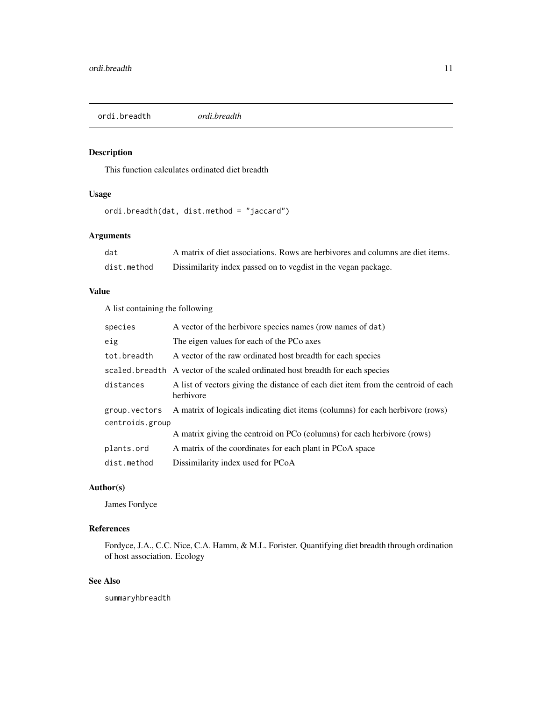<span id="page-10-0"></span>ordi.breadth *ordi.breadth*

# Description

This function calculates ordinated diet breadth

# Usage

ordi.breadth(dat, dist.method = "jaccard")

# Arguments

| dat         | A matrix of diet associations. Rows are herbivores and columns are diet items. |
|-------------|--------------------------------------------------------------------------------|
| dist.method | Dissimilarity index passed on to vegdist in the vegan package.                 |

### Value

A list containing the following

| species         | A vector of the herbivore species names (row names of dat)                                     |  |
|-----------------|------------------------------------------------------------------------------------------------|--|
| eig             | The eigen values for each of the PCo axes                                                      |  |
| tot.breadth     | A vector of the raw ordinated host breadth for each species                                    |  |
|                 | scaled breadth A vector of the scaled ordinated host breadth for each species                  |  |
| distances       | A list of vectors giving the distance of each diet item from the centroid of each<br>herbivore |  |
| group.vectors   | A matrix of logicals indicating diet items (columns) for each herbivore (rows)                 |  |
| centroids.group |                                                                                                |  |
|                 | A matrix giving the centroid on PCo (columns) for each herbivore (rows)                        |  |
| plants.ord      | A matrix of the coordinates for each plant in PCoA space                                       |  |
| dist.method     | Dissimilarity index used for PCoA                                                              |  |

# Author(s)

James Fordyce

# References

Fordyce, J.A., C.C. Nice, C.A. Hamm, & M.L. Forister. Quantifying diet breadth through ordination of host association. Ecology

# See Also

summaryhbreadth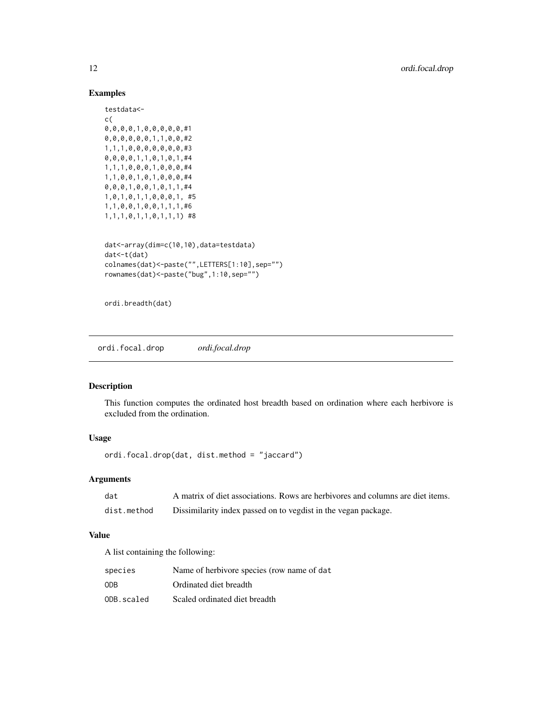# Examples

```
testdata<-
c(
0,0,0,0,1,0,0,0,0,0,#1
0,0,0,0,0,0,1,1,0,0,#2
1,1,1,0,0,0,0,0,0,0,#3
0,0,0,0,1,1,0,1,0,1,#4
1,1,1,0,0,0,1,0,0,0,#4
1,1,0,0,1,0,1,0,0,0,#4
0,0,0,1,0,0,1,0,1,1,#4
1,0,1,0,1,1,0,0,0,1, #5
1,1,0,0,1,0,0,1,1,1,#6
1,1,1,0,1,1,0,1,1,1) #8
dat<-array(dim=c(10,10),data=testdata)
dat<-t(dat)
colnames(dat)<-paste("",LETTERS[1:10],sep="")
rownames(dat)<-paste("bug",1:10,sep="")
```
ordi.breadth(dat)

ordi.focal.drop *ordi.focal.drop*

# Description

This function computes the ordinated host breadth based on ordination where each herbivore is excluded from the ordination.

# Usage

ordi.focal.drop(dat, dist.method = "jaccard")

# Arguments

| dat         | A matrix of diet associations. Rows are herbivores and columns are diet items. |
|-------------|--------------------------------------------------------------------------------|
| dist.method | Dissimilarity index passed on to vegdist in the vegan package.                 |

# Value

A list containing the following:

| species    | Name of herbivore species (row name of dat |
|------------|--------------------------------------------|
| <b>ODB</b> | Ordinated diet breadth                     |
| ODB.scaled | Scaled ordinated diet breadth              |

<span id="page-11-0"></span>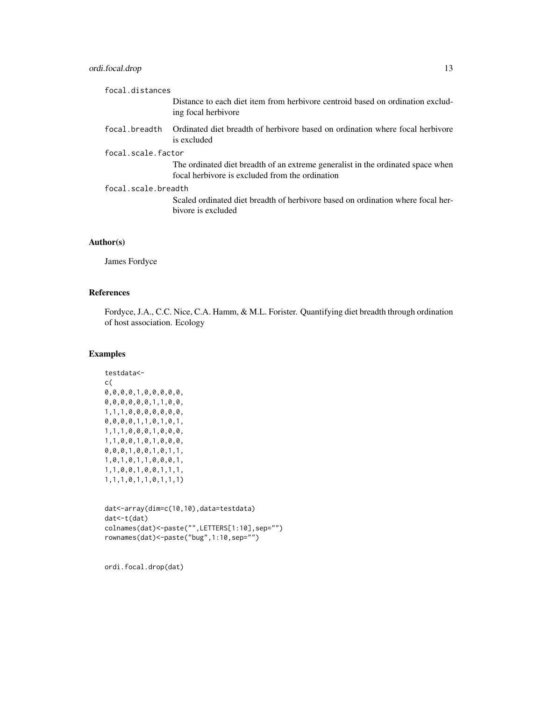# ordi.focal.drop 13

| focal.distances     |                                                                                                                                    |
|---------------------|------------------------------------------------------------------------------------------------------------------------------------|
|                     | Distance to each diet item from herbivore centroid based on ordination exclud-<br>ing focal herbivore                              |
| focal.breadth       | Ordinated diet breadth of herbivore based on ordination where focal herbivore<br>is excluded                                       |
| focal.scale.factor  |                                                                                                                                    |
|                     | The ordinated diet breadth of an extreme generalist in the ordinated space when<br>focal herbivore is excluded from the ordination |
| focal.scale.breadth |                                                                                                                                    |
|                     | Scaled ordinated diet breadth of herbivore based on ordination where focal her-<br>bivore is excluded                              |
|                     |                                                                                                                                    |

# Author(s)

James Fordyce

# References

Fordyce, J.A., C.C. Nice, C.A. Hamm, & M.L. Forister. Quantifying diet breadth through ordination of host association. Ecology

# Examples

```
testdata<-
c(
0,0,0,0,1,0,0,0,0,0,
0,0,0,0,0,0,1,1,0,0,
1,1,1,0,0,0,0,0,0,0,
0,0,0,0,1,1,0,1,0,1,
1,1,1,0,0,0,1,0,0,0,
1,1,0,0,1,0,1,0,0,0,
0,0,0,1,0,0,1,0,1,1,
1,0,1,0,1,1,0,0,0,1,
1,1,0,0,1,0,0,1,1,1,
1,1,1,0,1,1,0,1,1,1)
```

```
dat<-array(dim=c(10,10),data=testdata)
dat<-t(dat)
colnames(dat)<-paste("",LETTERS[1:10],sep="")
rownames(dat)<-paste("bug",1:10,sep="")
```
ordi.focal.drop(dat)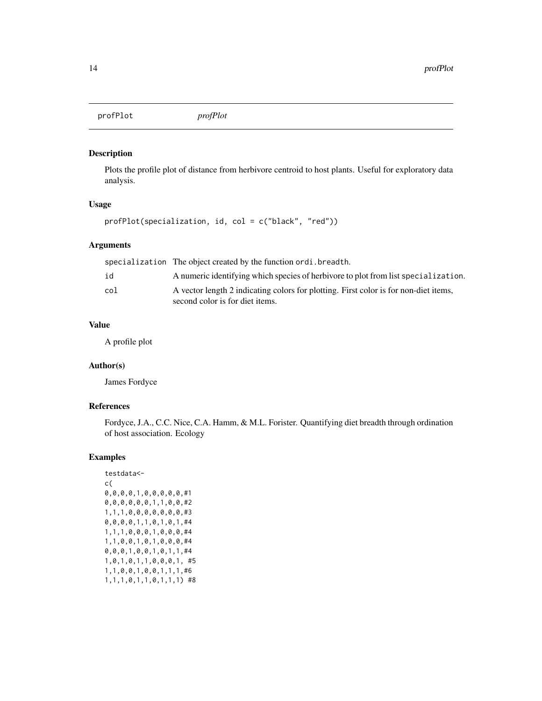<span id="page-13-0"></span>profPlot *profPlot*

# Description

Plots the profile plot of distance from herbivore centroid to host plants. Useful for exploratory data analysis.

# Usage

```
profPlot(specialization, id, col = c("black", "red"))
```
# Arguments

|     | specialization The object created by the function ordi. breadth.                                                        |
|-----|-------------------------------------------------------------------------------------------------------------------------|
| id  | A numeric identifying which species of herbivore to plot from list specialization.                                      |
| col | A vector length 2 indicating colors for plotting. First color is for non-diet items,<br>second color is for diet items. |

# Value

A profile plot

# Author(s)

James Fordyce

#### References

Fordyce, J.A., C.C. Nice, C.A. Hamm, & M.L. Forister. Quantifying diet breadth through ordination of host association. Ecology

# Examples

```
testdata<-
c(
0,0,0,0,1,0,0,0,0,0,#1
0,0,0,0,0,0,1,1,0,0,#2
1,1,1,0,0,0,0,0,0,0,#3
0,0,0,0,1,1,0,1,0,1,#4
1,1,1,0,0,0,1,0,0,0,#4
1,1,0,0,1,0,1,0,0,0,#4
0,0,0,1,0,0,1,0,1,1,#4
1,0,1,0,1,1,0,0,0,1, #5
1,1,0,0,1,0,0,1,1,1,#6
1,1,1,0,1,1,0,1,1,1) #8
```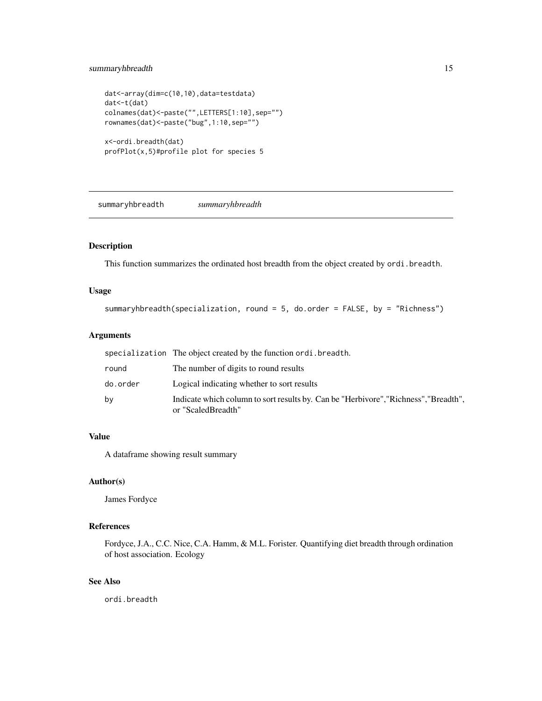# <span id="page-14-0"></span>summaryhbreadth 15

```
dat<-array(dim=c(10,10),data=testdata)
dat<-t(dat)
colnames(dat)<-paste("",LETTERS[1:10],sep="")
rownames(dat)<-paste("bug",1:10,sep="")
x<-ordi.breadth(dat)
profPlot(x,5)#profile plot for species 5
```
summaryhbreadth *summaryhbreadth*

# Description

This function summarizes the ordinated host breadth from the object created by ordi.breadth.

#### Usage

summaryhbreadth(specialization, round = 5, do.order = FALSE, by = "Richness")

# Arguments

|          | specialization The object created by the function ordi. breadth.                                           |
|----------|------------------------------------------------------------------------------------------------------------|
| round    | The number of digits to round results                                                                      |
| do.order | Logical indicating whether to sort results                                                                 |
| bv       | Indicate which column to sort results by. Can be "Herbivore", "Richness", "Breadth",<br>or "ScaledBreadth" |

# Value

A dataframe showing result summary

# Author(s)

James Fordyce

# References

Fordyce, J.A., C.C. Nice, C.A. Hamm, & M.L. Forister. Quantifying diet breadth through ordination of host association. Ecology

# See Also

ordi.breadth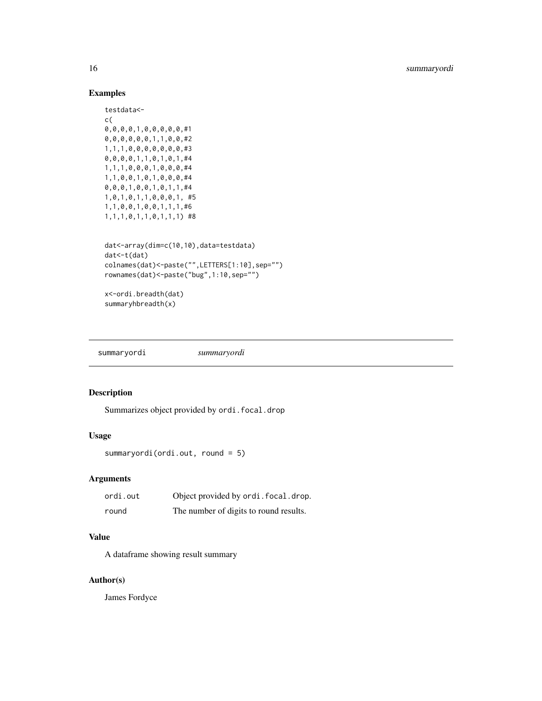# Examples

```
testdata<-
c(
0,0,0,0,1,0,0,0,0,0,#1
0,0,0,0,0,0,1,1,0,0,#2
1,1,1,0,0,0,0,0,0,0,#3
0,0,0,0,1,1,0,1,0,1,#4
1,1,1,0,0,0,1,0,0,0,#4
1,1,0,0,1,0,1,0,0,0,#4
0,0,0,1,0,0,1,0,1,1,#4
1,0,1,0,1,1,0,0,0,1, #5
1,1,0,0,1,0,0,1,1,1,#6
1,1,1,0,1,1,0,1,1,1) #8
dat<-array(dim=c(10,10),data=testdata)
dat<-t(dat)
colnames(dat)<-paste("",LETTERS[1:10],sep="")
rownames(dat)<-paste("bug",1:10,sep="")
x<-ordi.breadth(dat)
summaryhbreadth(x)
```
summaryordi *summaryordi*

# Description

Summarizes object provided by ordi.focal.drop

# Usage

```
summaryordi(ordi.out, round = 5)
```
# Arguments

| ordi.out | Object provided by ordi. focal. drop.  |
|----------|----------------------------------------|
| round    | The number of digits to round results. |

# Value

A dataframe showing result summary

# Author(s)

James Fordyce

<span id="page-15-0"></span>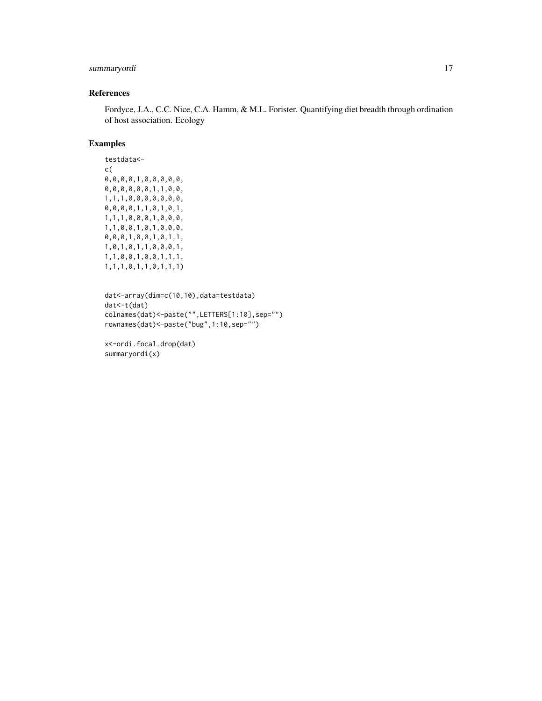# summaryordi 17

# References

Fordyce, J.A., C.C. Nice, C.A. Hamm, & M.L. Forister. Quantifying diet breadth through ordination of host association. Ecology

#### Examples

testdata< c( 0,0,0,0,1,0,0,0,0,0, 0,0,0,0,0,0,1,1,0,0, 1,1,1,0,0,0,0,0,0,0, 0,0,0,0,1,1,0,1,0,1, 1,1,1,0,0,0,1,0,0,0, 1,1,0,0,1,0,1,0,0,0, 0,0,0,1,0,0,1,0,1,1, 1,0,1,0,1,1,0,0,0,1, 1,1,0,0,1,0,0,1,1,1, 1,1,1,0,1,1,0,1,1,1)

```
dat<-array(dim=c(10,10),data=testdata)
dat<-t(dat)
colnames(dat)<-paste("",LETTERS[1:10],sep="")
rownames(dat)<-paste("bug",1:10,sep="")
```
x<-ordi.focal.drop(dat) summaryordi(x)